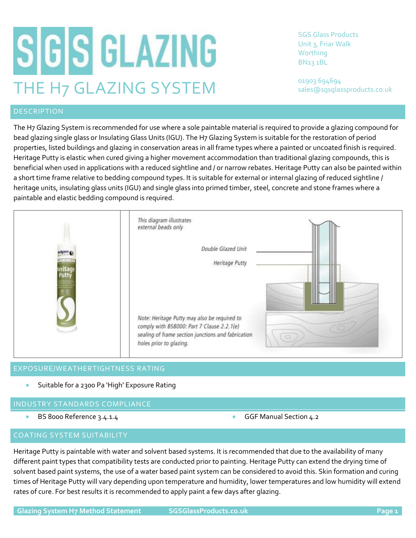# SGS GLAZING THE H7 GLAZING SYSTEM

SGS Glass Products Unit 3, Friar Walk Worthing BN13 1BL

01903 694694 sales@sgsglassproducts.co.uk

The H7 Glazing System is recommended for use where a sole paintable material is required to provide a glazing compound for bead glazing single glass or Insulating Glass Units (IGU). The H7 Glazing System is suitable for the restoration of period properties, listed buildings and glazing in conservation areas in all frame types where a painted or uncoated finish is required. Heritage Putty is elastic when cured giving a higher movement accommodation than traditional glazing compounds, this is beneficial when used in applications with a reduced sightline and / or narrow rebates. Heritage Putty can also be painted within a short time frame relative to bedding compound types. It is suitable for external or internal glazing of reduced sightline / heritage units, insulating glass units (IGU) and single glass into primed timber, steel, concrete and stone frames where a paintable and elastic bedding compound is required.



# EXPOSURE/WEATHERTIGHTNESS RATING

• Suitable for a 2300 Pa 'High' Exposure Rating

# INDUSTRY STANDARDS COMPLIANCE

- BS 8000 Reference 3.4.1.4 GGF Manual Section 4.2
- 

# COATING SYSTEM SUITABILITY

Heritage Putty is paintable with water and solvent based systems. It is recommended that due to the availability of many different paint types that compatibility tests are conducted prior to painting. Heritage Putty can extend the drying time of solvent based paint systems, the use of a water based paint system can be considered to avoid this. Skin formation and curing times of Heritage Putty will vary depending upon temperature and humidity, lower temperatures and low humidity will extend rates of cure. For best results it is recommended to apply paint a few days after glazing.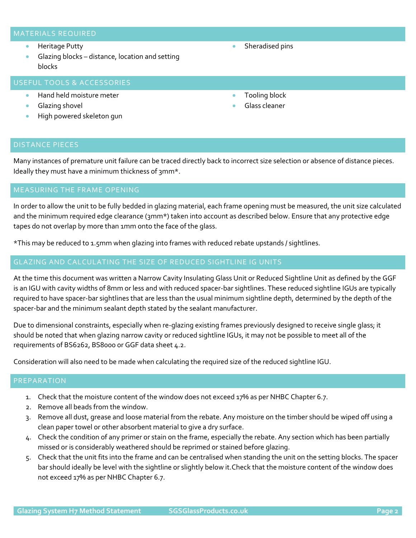## MATERIALS REQUIRED

- Heritage Putty
- Glazing blocks distance, location and setting blocks

# USEFUL TOOLS & ACCESSORIES

- Hand held moisture meter
- Glazing shovel
- High powered skeleton gun
- Sheradised pins
- Tooling block
- Glass cleaner

### DISTANCE PIECES

Many instances of premature unit failure can be traced directly back to incorrect size selection or absence of distance pieces. Ideally they must have a minimum thickness of 3mm\*.

In order to allow the unit to be fully bedded in glazing material, each frame opening must be measured, the unit size calculated and the minimum required edge clearance (3mm\*) taken into account as described below. Ensure that any protective edge tapes do not overlap by more than 1mm onto the face of the glass.

\*This may be reduced to 1.5mm when glazing into frames with reduced rebate upstands / sightlines.

## GLAZING AND CALCULATING THE SIZE OF REDUCED SIGHTLINE IG UNITS

At the time this document was written a Narrow Cavity Insulating Glass Unit or Reduced Sightline Unit as defined by the GGF is an IGU with cavity widths of 8mm or less and with reduced spacer-bar sightlines. These reduced sightline IGUs are typically required to have spacer-bar sightlines that are less than the usual minimum sightline depth, determined by the depth of the spacer-bar and the minimum sealant depth stated by the sealant manufacturer.

Due to dimensional constraints, especially when re-glazing existing frames previously designed to receive single glass; it should be noted that when glazing narrow cavity or reduced sightline IGUs, it may not be possible to meet all of the requirements of BS6262, BS8000 or GGF data sheet 4.2.

Consideration will also need to be made when calculating the required size of the reduced sightline IGU.

### PREPARATION

- 1. Check that the moisture content of the window does not exceed 17% as per NHBC Chapter 6.7.
- 2. Remove all beads from the window.
- 3. Remove all dust, grease and loose material from the rebate. Any moisture on the timber should be wiped off using a clean paper towel or other absorbent material to give a dry surface.
- 4. Check the condition of any primer or stain on the frame, especially the rebate. Any section which has been partially missed or is considerably weathered should be reprimed or stained before glazing.
- 5. Check that the unit fits into the frame and can be centralised when standing the unit on the setting blocks. The spacer bar should ideally be level with the sightline or slightly below it.Check that the moisture content of the window does not exceed 17% as per NHBC Chapter 6.7.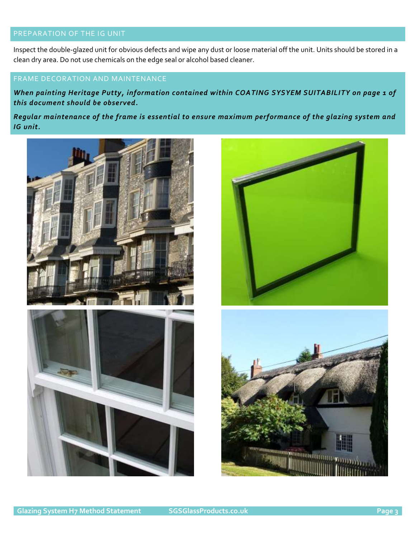# PREPARATION OF THE IG UNIT

Inspect the double-glazed unit for obvious defects and wipe any dust or loose material off the unit. Units should be stored in a clean dry area. Do not use chemicals on the edge seal or alcohol based cleaner.

# FRAME DECORATION AND MAINTENANCE

*When painting Heritage Putty, information contained within COATING SYSYEM SUITABILITY on page 1 of this document should be observed.*

*Regular maintenance of the frame is essential to ensure maximum performance of the glazing system and IG unit.*